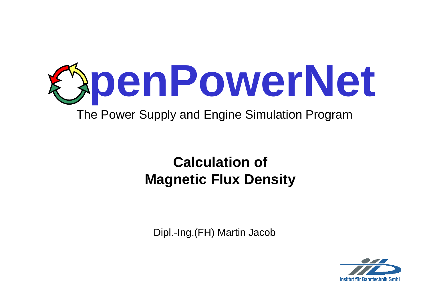

# **Calculation ofMagnetic Flux Density**

Dipl.-Ing.(FH) Martin Jacob

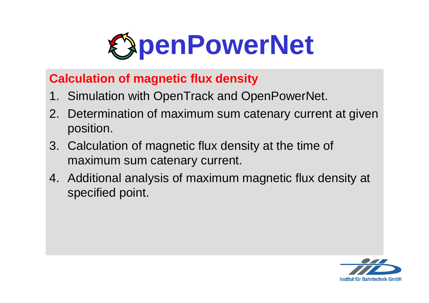

#### **Calculation of magnetic flux density**

- 1. Simulation with OpenTrack and OpenPowerNet.
- 2. Determination of maximum sum catenary current at given position.
- 3. Calculation of magnetic flux density at the time of maximum sum catenary current.
- 4. Additional analysis of maximum magnetic flux density at specified point.

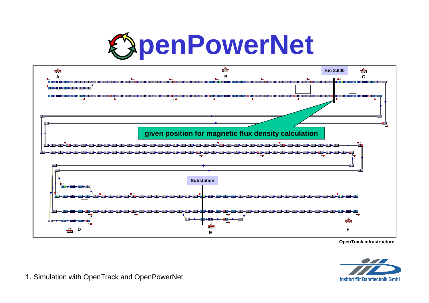



**OpenTrack infrastructure**



1. Simulation with OpenTrack and OpenPowerNet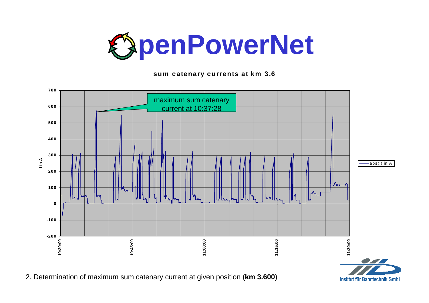

**sum catenary currents at km 3.6**



2. Determination of maximum sum catenary current at given position (**km 3.600**)

Institut für Bahntechnik GmbH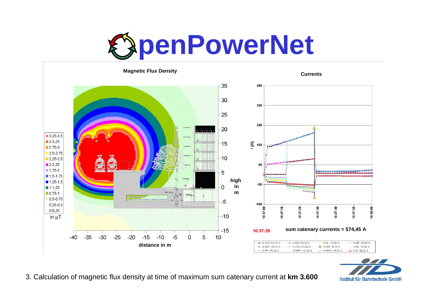



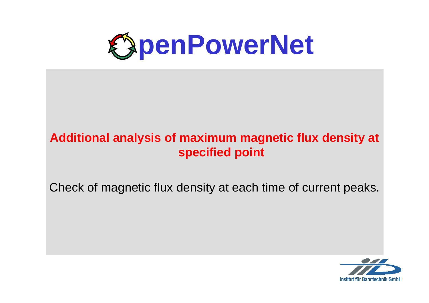

## **Additional analysis of maximum magnetic flux density at specified point**

Check of magnetic flux density at each time of current peaks.

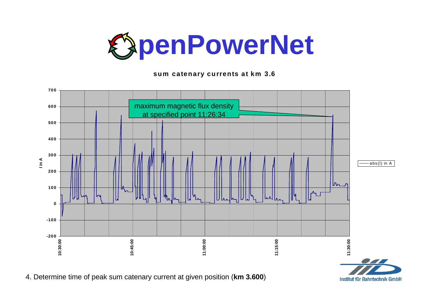

**sum catenary currents at km 3.6**



4. Determine time of peak sum catenary current at given position (**km 3.600**)

Institut für Bahntechnik GmbH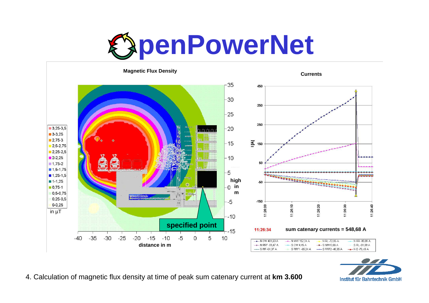





4. Calculation of magnetic flux density at time of peak sum catenary current at **km 3.600**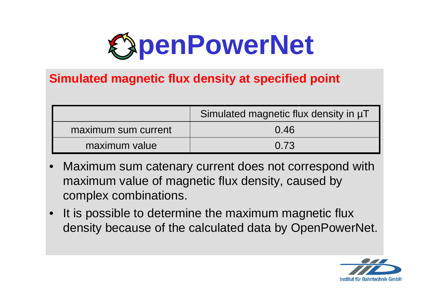

#### **Simulated magnetic flux density at specified point**

|                     | Simulated magnetic flux density in µT |  |
|---------------------|---------------------------------------|--|
| maximum sum current | 0.46                                  |  |
| maximum value       | 0.73                                  |  |

- • Maximum sum catenary current does not correspond with maximum value of magnetic flux density, caused by complex combinations.
- • It is possible to determine the maximum magnetic flux density because of the calculated data by OpenPowerNet.

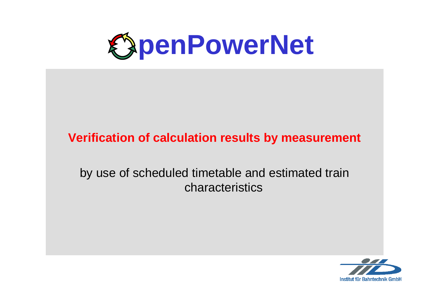

### **Verification of calculation results by measurement**

### by use of scheduled timetable and estimated train characteristics

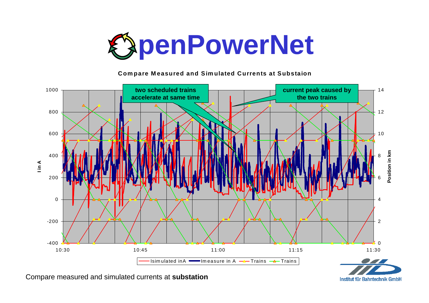

#### **Com pare M easured and Sim ulated Currents at Substaion**



Compare measured and simulated currents at **substation**

Institut für Bahntechnik GmbH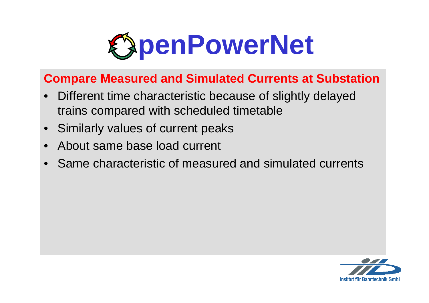

#### **Compare Measured and Simulated Currents at Substation**

- Different time characteristic because of slightly delayed trains compared with scheduled timetable
- •Similarly values of current peaks
- •About same base load current
- •Same characteristic of measured and simulated currents